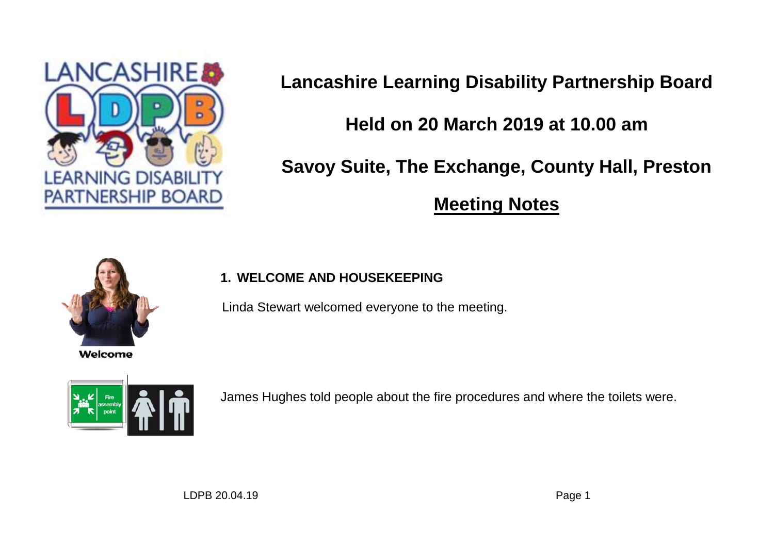

**Lancashire Learning Disability Partnership Board**

# **Held on 20 March 2019 at 10.00 am**

**Savoy Suite, The Exchange, County Hall, Preston**

**Meeting Notes**



Welcome

## **1. WELCOME AND HOUSEKEEPING**

Linda Stewart welcomed everyone to the meeting.



James Hughes told people about the fire procedures and where the toilets were.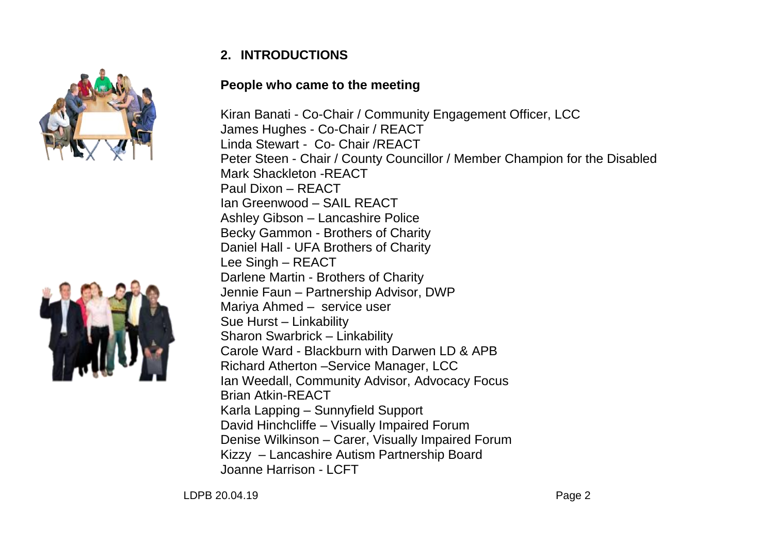

## **2. INTRODUCTIONS**

### **People who came to the meeting**

Kiran Banati - Co-Chair / Community Engagement Officer, LCC James Hughes - Co-Chair / REACT Linda Stewart - Co- Chair /REACT Peter Steen - Chair / County Councillor / Member Champion for the Disabled Mark Shackleton -REACT Paul Dixon – REACT Ian Greenwood – SAIL REACT Ashley Gibson – Lancashire Police Becky Gammon - Brothers of Charity Daniel Hall - UFA Brothers of Charity Lee Singh – REACT Darlene Martin - Brothers of Charity Jennie Faun – Partnership Advisor, DWP Mariya Ahmed – service user Sue Hurst – Linkability Sharon Swarbrick – Linkability Carole Ward - Blackburn with Darwen LD & APB Richard Atherton –Service Manager, LCC Ian Weedall, Community Advisor, Advocacy Focus Brian Atkin-REACT Karla Lapping – Sunnyfield Support David Hinchcliffe – Visually Impaired Forum Denise Wilkinson – Carer, Visually Impaired Forum Kizzy – Lancashire Autism Partnership Board Joanne Harrison - LCFT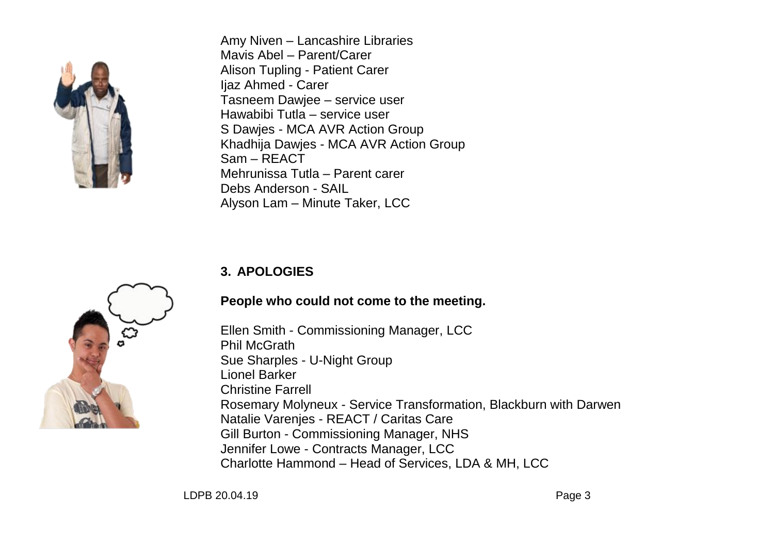

Amy Niven – Lancashire Libraries Mavis Abel – Parent/Carer Alison Tupling - Patient Carer Ijaz Ahmed - Carer Tasneem Dawjee – service user Hawabibi Tutla – service user S Dawjes - MCA AVR Action Group Khadhija Dawjes - MCA AVR Action Group Sam – REACT Mehrunissa Tutla – Parent carer Debs Anderson - SAIL Alyson Lam – Minute Taker, LCC

## **3. APOLOGIES**

## **People who could not come to the meeting.**

Ellen Smith - Commissioning Manager, LCC Phil McGrath Sue Sharples - U-Night Group Lionel Barker Christine Farrell Rosemary Molyneux - Service Transformation, Blackburn with Darwen Natalie Varenjes - REACT / Caritas Care Gill Burton - Commissioning Manager, NHS Jennifer Lowe - Contracts Manager, LCC Charlotte Hammond – Head of Services, LDA & MH, LCC

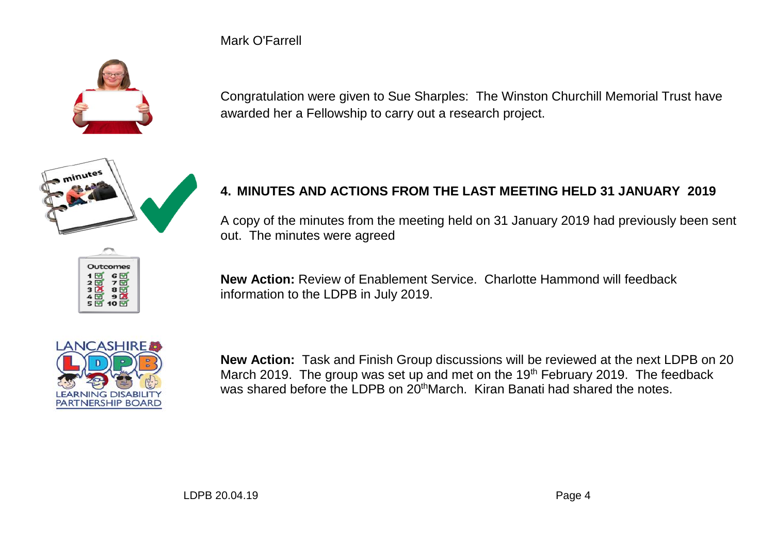Mark O'Farrell



Congratulation were given to Sue Sharples: The Winston Churchill Memorial Trust have awarded her a Fellowship to carry out a research project.



## **4. MINUTES AND ACTIONS FROM THE LAST MEETING HELD 31 JANUARY 2019**

A copy of the minutes from the meeting held on 31 January 2019 had previously been sent out. The minutes were agreed



**New Action:** Review of Enablement Service. Charlotte Hammond will feedback information to the LDPB in July 2019.



**New Action:** Task and Finish Group discussions will be reviewed at the next LDPB on 20 March 2019. The group was set up and met on the  $19<sup>th</sup>$  February 2019. The feedback was shared before the LDPB on 20<sup>th</sup>March. Kiran Banati had shared the notes.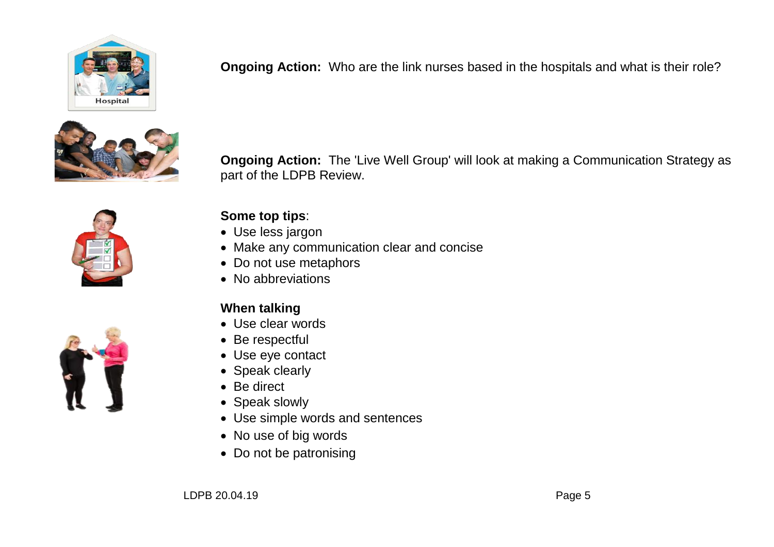

**Ongoing Action:** Who are the link nurses based in the hospitals and what is their role?



**Ongoing Action:** The 'Live Well Group' will look at making a Communication Strategy as part of the LDPB Review.



## **Some top tips**:

- Use less jargon
- Make any communication clear and concise
- Do not use metaphors
- No abbreviations

## **When talking**

- Use clear words
- Be respectful
- Use eye contact
- Speak clearly
- Be direct
- Speak slowly
- Use simple words and sentences
- No use of big words
- Do not be patronising

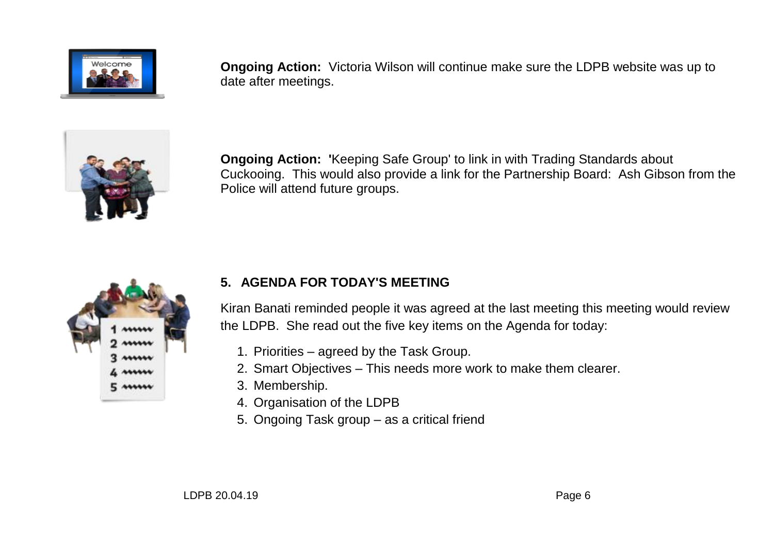

**Ongoing Action:** Victoria Wilson will continue make sure the LDPB website was up to date after meetings.



**Ongoing Action: '**Keeping Safe Group' to link in with Trading Standards about Cuckooing. This would also provide a link for the Partnership Board: Ash Gibson from the Police will attend future groups.



## **5. AGENDA FOR TODAY'S MEETING**

Kiran Banati reminded people it was agreed at the last meeting this meeting would review the LDPB. She read out the five key items on the Agenda for today:

- 1. Priorities agreed by the Task Group.
- 2. Smart Objectives This needs more work to make them clearer.
- 3. Membership.
- 4. Organisation of the LDPB
- 5. Ongoing Task group as a critical friend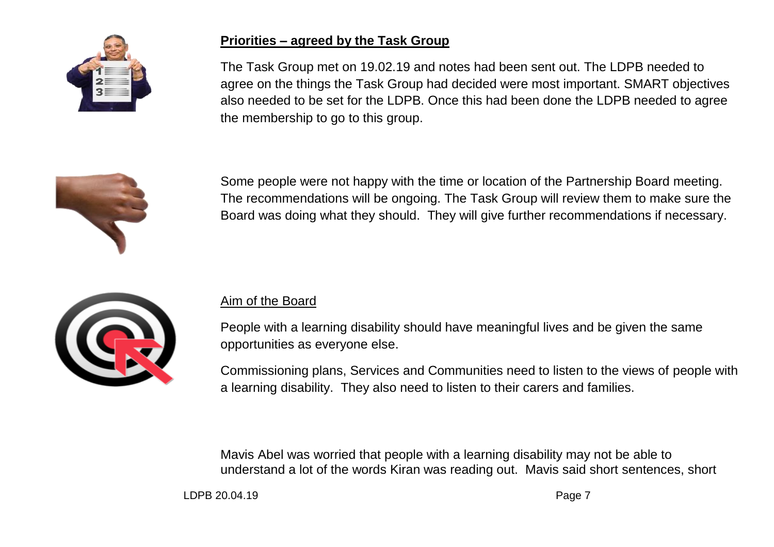

### **Priorities – agreed by the Task Group**

The Task Group met on 19.02.19 and notes had been sent out. The LDPB needed to agree on the things the Task Group had decided were most important. SMART objectives also needed to be set for the LDPB. Once this had been done the LDPB needed to agree the membership to go to this group.



Some people were not happy with the time or location of the Partnership Board meeting. The recommendations will be ongoing. The Task Group will review them to make sure the Board was doing what they should. They will give further recommendations if necessary.



### Aim of the Board

People with a learning disability should have meaningful lives and be given the same opportunities as everyone else.

Commissioning plans, Services and Communities need to listen to the views of people with a learning disability. They also need to listen to their carers and families.

Mavis Abel was worried that people with a learning disability may not be able to understand a lot of the words Kiran was reading out. Mavis said short sentences, short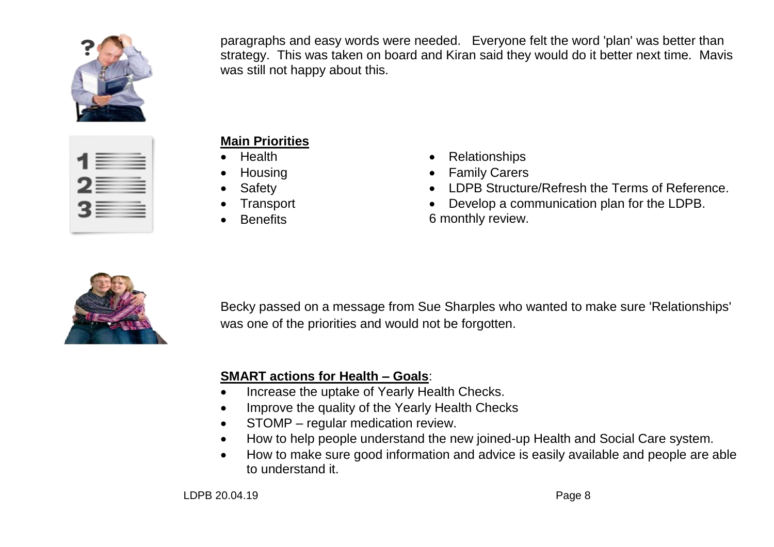

paragraphs and easy words were needed. Everyone felt the word 'plan' was better than strategy. This was taken on board and Kiran said they would do it better next time. Mavis was still not happy about this.

| ____<br>___<br>___<br>---- |  |
|----------------------------|--|
| Bi                         |  |
| E S                        |  |

## **Main Priorities**

- Health
- Housing
- Safety
- **Transport**
- **Benefits**
- Relationships
- Family Carers
- LDPB Structure/Refresh the Terms of Reference.
- Develop a communication plan for the LDPB. 6 monthly review.



Becky passed on a message from Sue Sharples who wanted to make sure 'Relationships' was one of the priorities and would not be forgotten.

## **SMART actions for Health – Goals**:

- Increase the uptake of Yearly Health Checks.
- Improve the quality of the Yearly Health Checks
- STOMP regular medication review.
- How to help people understand the new joined-up Health and Social Care system.
- How to make sure good information and advice is easily available and people are able to understand it.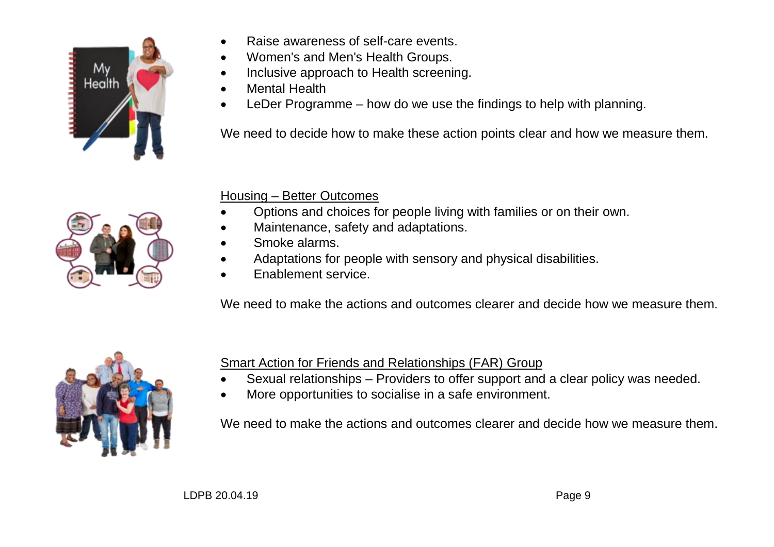

- Raise awareness of self-care events.
- Women's and Men's Health Groups.
- Inclusive approach to Health screening.
- Mental Health
- LeDer Programme how do we use the findings to help with planning.

We need to decide how to make these action points clear and how we measure them.



## Housing – Better Outcomes

- Options and choices for people living with families or on their own.
- Maintenance, safety and adaptations.
- Smoke alarms.
- Adaptations for people with sensory and physical disabilities.
- Enablement service.

We need to make the actions and outcomes clearer and decide how we measure them.



Smart Action for Friends and Relationships (FAR) Group

- Sexual relationships Providers to offer support and a clear policy was needed.
- More opportunities to socialise in a safe environment.

We need to make the actions and outcomes clearer and decide how we measure them.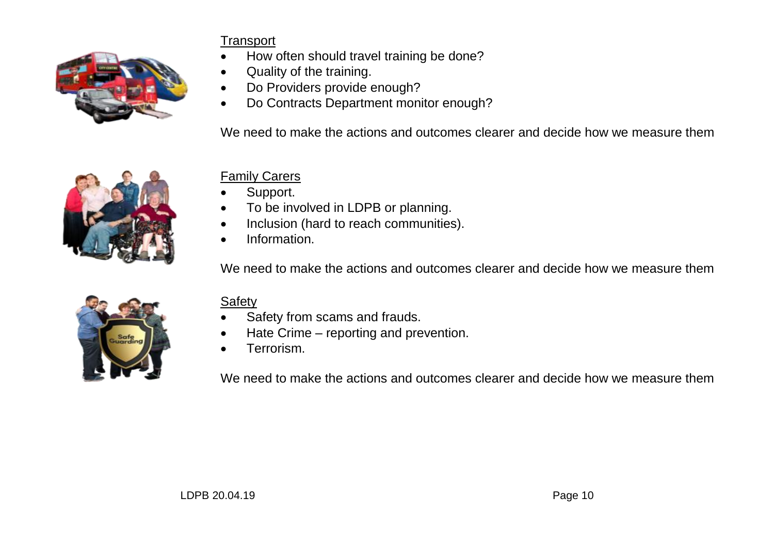

## **Transport**

- How often should travel training be done?
- Quality of the training.
- Do Providers provide enough?
- Do Contracts Department monitor enough?

We need to make the actions and outcomes clearer and decide how we measure them



## Family Carers

- Support.
- To be involved in LDPB or planning.
- Inclusion (hard to reach communities).
- Information.

We need to make the actions and outcomes clearer and decide how we measure them



## Safety

- Safety from scams and frauds.
- Hate Crime reporting and prevention.
- **•** Terrorism.

We need to make the actions and outcomes clearer and decide how we measure them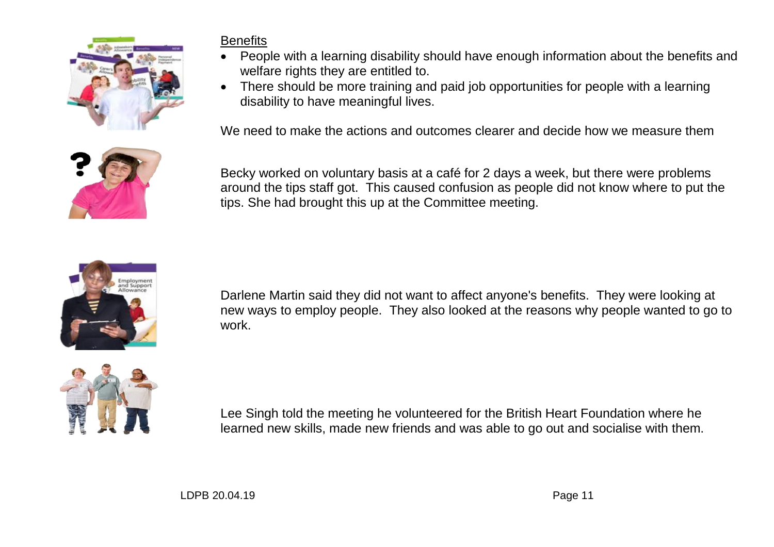

## **Benefits**

- People with a learning disability should have enough information about the benefits and welfare rights they are entitled to.
- There should be more training and paid job opportunities for people with a learning disability to have meaningful lives.

We need to make the actions and outcomes clearer and decide how we measure them



Becky worked on voluntary basis at a café for 2 days a week, but there were problems around the tips staff got. This caused confusion as people did not know where to put the tips. She had brought this up at the Committee meeting.



Darlene Martin said they did not want to affect anyone's benefits. They were looking at new ways to employ people. They also looked at the reasons why people wanted to go to work.



Lee Singh told the meeting he volunteered for the British Heart Foundation where he learned new skills, made new friends and was able to go out and socialise with them.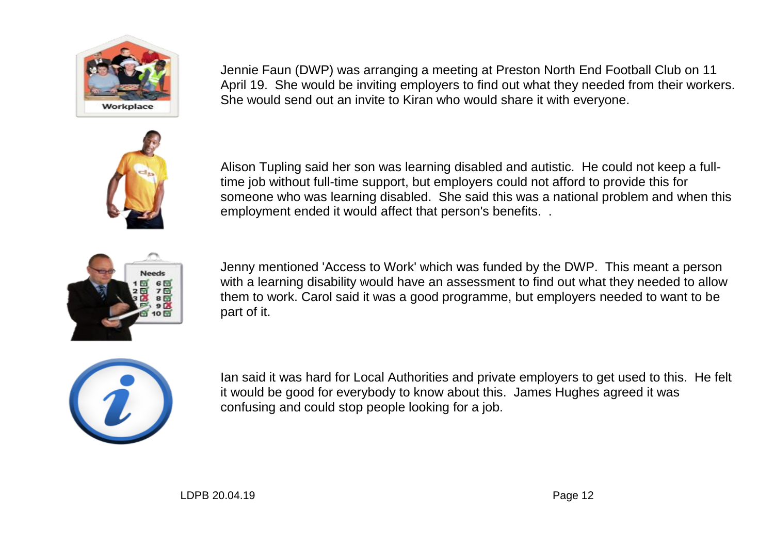

Jennie Faun (DWP) was arranging a meeting at Preston North End Football Club on 11 April 19. She would be inviting employers to find out what they needed from their workers. She would send out an invite to Kiran who would share it with everyone.



Alison Tupling said her son was learning disabled and autistic. He could not keep a fulltime job without full-time support, but employers could not afford to provide this for someone who was learning disabled. She said this was a national problem and when this employment ended it would affect that person's benefits. .



Jenny mentioned 'Access to Work' which was funded by the DWP. This meant a person with a learning disability would have an assessment to find out what they needed to allow them to work. Carol said it was a good programme, but employers needed to want to be part of it.



Ian said it was hard for Local Authorities and private employers to get used to this. He felt it would be good for everybody to know about this. James Hughes agreed it was confusing and could stop people looking for a job.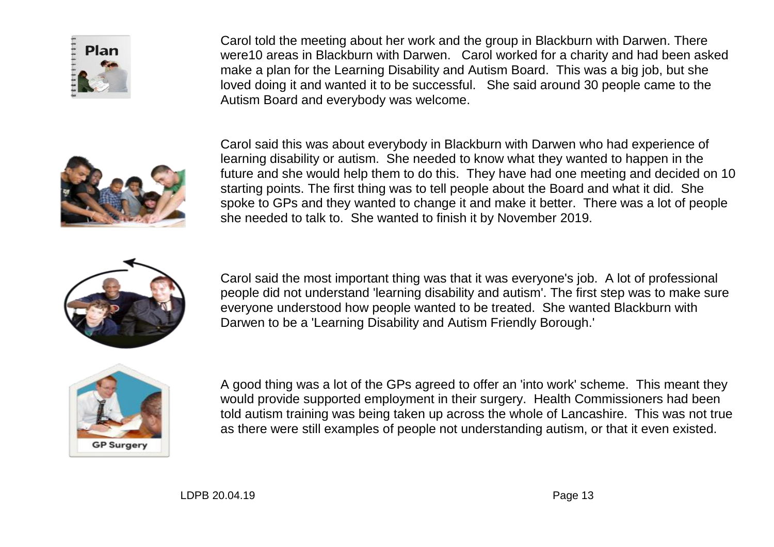

Carol told the meeting about her work and the group in Blackburn with Darwen. There were10 areas in Blackburn with Darwen. Carol worked for a charity and had been asked make a plan for the Learning Disability and Autism Board. This was a big job, but she loved doing it and wanted it to be successful. She said around 30 people came to the Autism Board and everybody was welcome.



Carol said this was about everybody in Blackburn with Darwen who had experience of learning disability or autism. She needed to know what they wanted to happen in the future and she would help them to do this. They have had one meeting and decided on 10 starting points. The first thing was to tell people about the Board and what it did. She spoke to GPs and they wanted to change it and make it better. There was a lot of people she needed to talk to. She wanted to finish it by November 2019.



Carol said the most important thing was that it was everyone's job. A lot of professional people did not understand 'learning disability and autism'. The first step was to make sure everyone understood how people wanted to be treated. She wanted Blackburn with Darwen to be a 'Learning Disability and Autism Friendly Borough.'



A good thing was a lot of the GPs agreed to offer an 'into work' scheme. This meant they would provide supported employment in their surgery. Health Commissioners had been told autism training was being taken up across the whole of Lancashire. This was not true as there were still examples of people not understanding autism, or that it even existed.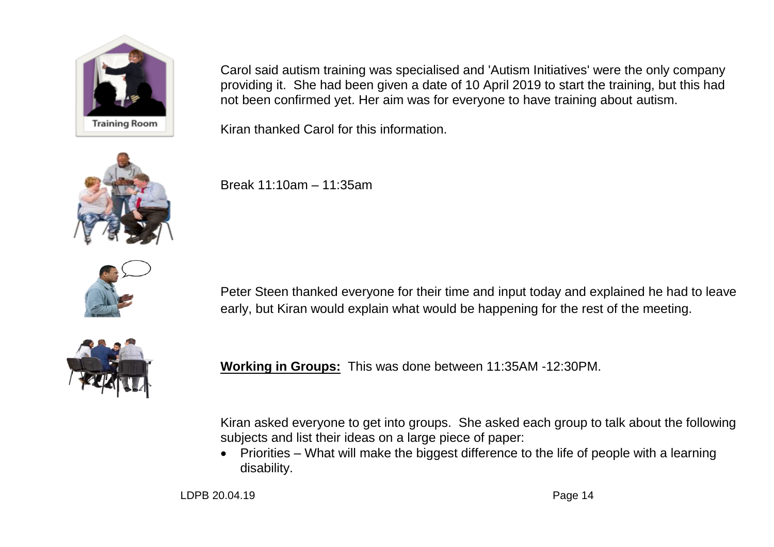

Carol said autism training was specialised and 'Autism Initiatives' were the only company providing it. She had been given a date of 10 April 2019 to start the training, but this had not been confirmed yet. Her aim was for everyone to have training about autism.

Kiran thanked Carol for this information.



Break 11:10am – 11:35am



Peter Steen thanked everyone for their time and input today and explained he had to leave early, but Kiran would explain what would be happening for the rest of the meeting.



**Working in Groups:** This was done between 11:35AM -12:30PM.

Kiran asked everyone to get into groups. She asked each group to talk about the following subjects and list their ideas on a large piece of paper:

• Priorities – What will make the biggest difference to the life of people with a learning disability.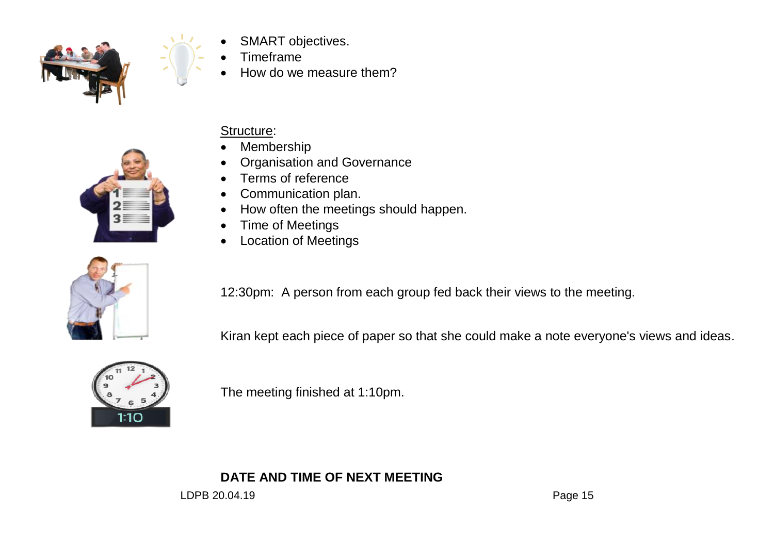

- SMART objectives.
- Timeframe
- How do we measure them?



## Structure:

- Membership
- Organisation and Governance
- Terms of reference
- Communication plan.
- How often the meetings should happen.
- Time of Meetings
- Location of Meetings



12:30pm: A person from each group fed back their views to the meeting.

Kiran kept each piece of paper so that she could make a note everyone's views and ideas.



The meeting finished at 1:10pm.

**DATE AND TIME OF NEXT MEETING**

LDPB 20.04.19 **Page 15**